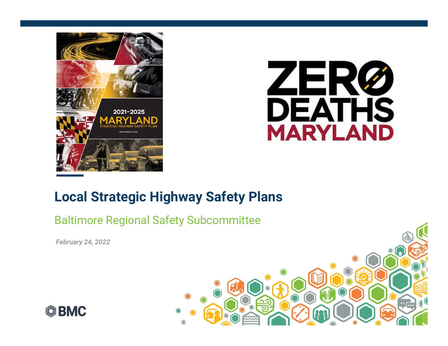



### Local Strategic Highway Safety Plans

#### Baltimore Regional Safety Subcommittee

February 24, 2022



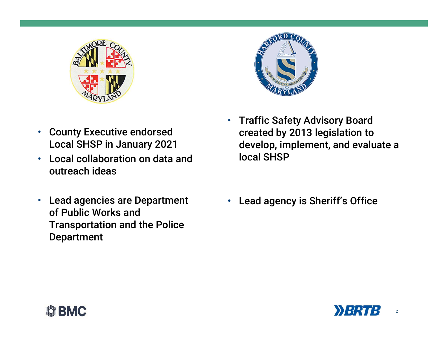



- County Executive endorsed Local SHSP in January 2021
- Local collaboration on data and outreach ideas
- Lead agencies are Department of Public Works and Transportation and the Police Department
- Traffic Safety Advisory Board created by 2013 legislation to develop, implement, and evaluate a local SHSP
- Lead agency is Sheriff's Office



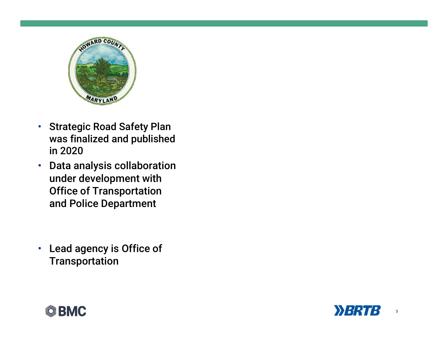

- Strategic Road Safety Plan was finalized and published in 2020
- Data analysis collaboration under development with Office of Transportation and Police Department
- Lead agency is Office of **Transportation**



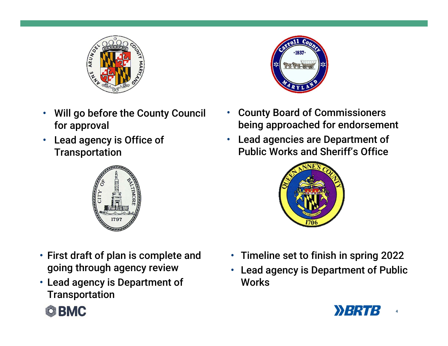

- Will go before the County Council for approval
- Lead agency is Office of **Transportation**



- First draft of plan is complete and going through agency review
- Lead agency is Department of **Transportation**





- County Board of Commissioners being approached for endorsement
- Lead agencies are Department of Public Works and Sheriff's Office



- Timeline set to finish in spring 2022
- Lead agency is Department of Public Works

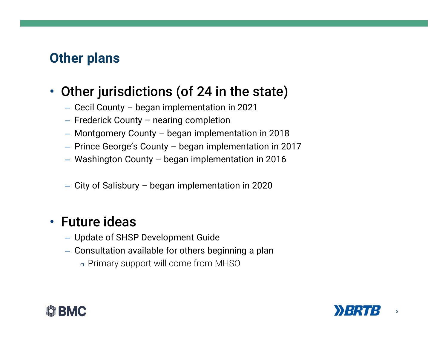# Other plans

# • Other jurisdictions (of 24 in the state) **her plans<br>
Dther jurisdictions (of 24 in the state)**<br>
— Cecil County – began implementation in 2021<br>
— Frederick County – nearing completion<br>
— Montgomery County – began implementation in 2018<br>— Prince George's County – b **her plans<br>
Dther jurisdictions (of 24 in the state)**<br>
- Cecil County – began implementation in 2021<br>
- Frederick County – nearing completion<br>
- Montgomery County – began implementation in 2018<br>
- Prince George's County – **her plans<br>
Dther jurisdictions (of 24 in the state)**<br>
- Cecil County – began implementation in 2021<br>
- Frederick County – nearing completion<br>
— Montgomery County – began implementation in 2017<br>
— Prince George's County – **her plans<br>
Dther jurisdictions (of 24 in the state)**<br>
— Cecil County – began implementation in 2021<br>
— Frederick County – nearing completion<br>
— Montgomery County – began implementation in 2018<br>
— Prince George's County – **her plans<br>
Dther jurisdictions (of 24 in the state)**<br>
- Cecil County – began implementation in 2021<br>
- Frederick County – nearing completion<br>
- Montgomery County – began implementation in 2018<br>
- Prince George's County –

- 
- 
- 
- 
- 
- 

# • Future ideas

- Update of SHSP Development Guide
- Consultation available for others beginning a plan
	- o Primary support will come from MHSO



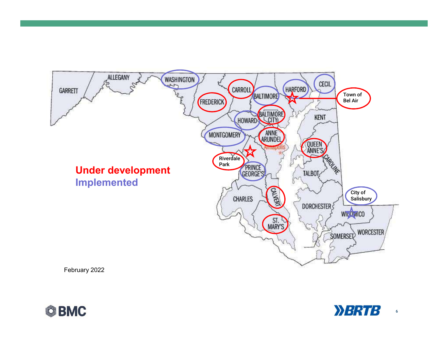





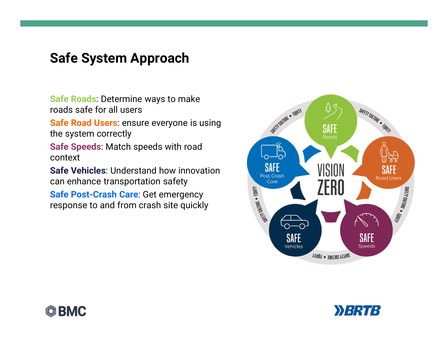#### Safe System Approach

roads safe for all users

**Safe System Approach<br>Safe Roads:** Determine ways to make<br>roads safe for all users<br>**Safe Road Users**: ensure everyone is using<br>the system correctly Safe System Approach<br>
Safe Roads: Determine ways to make<br>
roads safe for all users<br>
Safe Road Users: ensure everyone is using<br>
the system correctly<br>
Safe Speeds: Match speeds with road<br>
context the system correctly

context

**Safe System Approach<br>
Safe Roads**: Determine ways to make<br>
roads safe for all users<br> **Safe Road Users**: ensure everyone is using<br>
the system correctly<br> **Safe Speeds**: Match speeds with road<br>
context<br> **Safe Vehicles**: Unde

Can enhance transportation safety<br>
Safe Post-Crash Care: Get emergency<br>
response to and from crash site quickly Safe Post-Crash Care: Get emergency response to and from crash site quickly